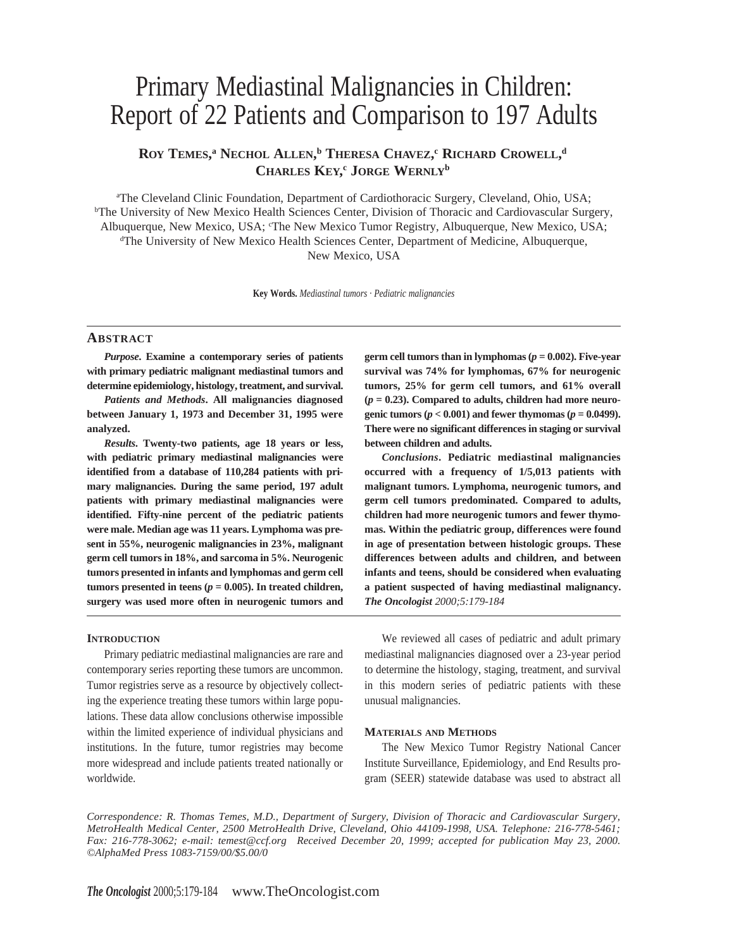# Primary Mediastinal Malignancies in Children: Report of 22 Patients and Comparison to 197 Adults

# **ROY TEMES, <sup>a</sup> NECHOL ALLEN, <sup>b</sup> THERESA CHAVEZ, <sup>c</sup> RICHARD CROWELL, d CHARLES KEY, <sup>c</sup> JORGE WERNLYb**

<sup>a</sup> The Cleveland Clinic Foundation, Department of Cardiothoracic Surgery, Cleveland, Ohio, USA;<br><sup>b</sup> The University of New Mexico Health Sciences Center, Division of Thoracic and Cardiovascular Surger <sup>b</sup>The University of New Mexico Health Sciences Center, Division of Thoracic and Cardiovascular Surgery, Albuquerque, New Mexico, USA; <sup>c</sup>The New Mexico Tumor Registry, Albuquerque, New Mexico, USA; <sup>d</sup>The University of New Mexico Health Sciences Center. Department of Medicine, Albuquerque The University of New Mexico Health Sciences Center, Department of Medicine, Albuquerque, New Mexico, USA

**Key Words.** *Mediastinal tumors · Pediatric malignancies*

#### **ABSTRACT**

*Purpose***. Examine a contemporary series of patients with primary pediatric malignant mediastinal tumors and determine epidemiology, histology, treatment, and survival.**

*Patients and Methods***. All malignancies diagnosed between January 1, 1973 and December 31, 1995 were analyzed.**

*Results***. Twenty-two patients, age 18 years or less, with pediatric primary mediastinal malignancies were identified from a database of 110,284 patients with primary malignancies. During the same period, 197 adult patients with primary mediastinal malignancies were identified. Fifty-nine percent of the pediatric patients were male. Median age was 11 years. Lymphoma was present in 55%, neurogenic malignancies in 23%, malignant germ cell tumors in 18%, and sarcoma in 5%. Neurogenic tumors presented in infants and lymphomas and germ cell tumors presented in teens (** $p = 0.005$ **). In treated children, surgery was used more often in neurogenic tumors and**

#### **INTRODUCTION**

Primary pediatric mediastinal malignancies are rare and contemporary series reporting these tumors are uncommon. Tumor registries serve as a resource by objectively collecting the experience treating these tumors within large populations. These data allow conclusions otherwise impossible within the limited experience of individual physicians and institutions. In the future, tumor registries may become more widespread and include patients treated nationally or worldwide.

**germ cell tumors than in lymphomas (** $p = 0.002$ **). Five-year survival was 74% for lymphomas, 67% for neurogenic tumors, 25% for germ cell tumors, and 61% overall (***p* **= 0.23). Compared to adults, children had more neurogenic tumors (** $p < 0.001$ **) and fewer thymomas (** $p = 0.0499$ **). There were no significant differences in staging or survival between children and adults.** 

*Conclusions***. Pediatric mediastinal malignancies occurred with a frequency of 1/5,013 patients with malignant tumors. Lymphoma, neurogenic tumors, and germ cell tumors predominated. Compared to adults, children had more neurogenic tumors and fewer thymomas. Within the pediatric group, differences were found in age of presentation between histologic groups. These differences between adults and children, and between infants and teens, should be considered when evaluating a patient suspected of having mediastinal malignancy.** *The Oncologist 2000;5:179-184*

We reviewed all cases of pediatric and adult primary mediastinal malignancies diagnosed over a 23-year period to determine the histology, staging, treatment, and survival in this modern series of pediatric patients with these unusual malignancies.

#### **MATERIALS AND METHODS**

The New Mexico Tumor Registry National Cancer Institute Surveillance, Epidemiology, and End Results program (SEER) statewide database was used to abstract all

*Correspondence: R. Thomas Temes, M.D., Department of Surgery, Division of Thoracic and Cardiovascular Surgery, MetroHealth Medical Center, 2500 MetroHealth Drive, Cleveland, Ohio 44109-1998, USA. Telephone: 216-778-5461; Fax: 216-778-3062; e-mail: temest@ccf.org Received December 20, 1999; accepted for publication May 23, 2000. ©AlphaMed Press 1083-7159/00/\$5.00/0*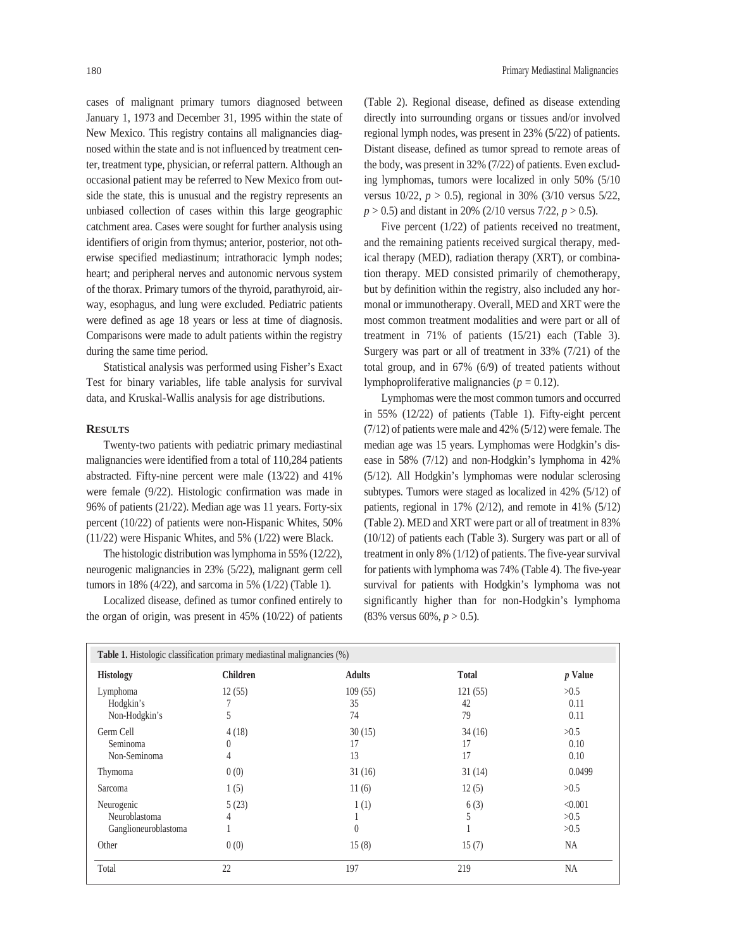cases of malignant primary tumors diagnosed between January 1, 1973 and December 31, 1995 within the state of New Mexico. This registry contains all malignancies diagnosed within the state and is not influenced by treatment center, treatment type, physician, or referral pattern. Although an occasional patient may be referred to New Mexico from outside the state, this is unusual and the registry represents an unbiased collection of cases within this large geographic catchment area. Cases were sought for further analysis using identifiers of origin from thymus; anterior, posterior, not otherwise specified mediastinum; intrathoracic lymph nodes; heart; and peripheral nerves and autonomic nervous system of the thorax. Primary tumors of the thyroid, parathyroid, airway, esophagus, and lung were excluded. Pediatric patients were defined as age 18 years or less at time of diagnosis. Comparisons were made to adult patients within the registry during the same time period.

Statistical analysis was performed using Fisher's Exact Test for binary variables, life table analysis for survival data, and Kruskal-Wallis analysis for age distributions.

#### **RESULTS**

Twenty-two patients with pediatric primary mediastinal malignancies were identified from a total of 110,284 patients abstracted. Fifty-nine percent were male (13/22) and 41% were female (9/22). Histologic confirmation was made in 96% of patients (21/22). Median age was 11 years. Forty-six percent (10/22) of patients were non-Hispanic Whites, 50% (11/22) were Hispanic Whites, and 5% (1/22) were Black.

The histologic distribution was lymphoma in 55% (12/22), neurogenic malignancies in 23% (5/22), malignant germ cell tumors in 18% (4/22), and sarcoma in 5% (1/22) (Table 1).

Localized disease, defined as tumor confined entirely to the organ of origin, was present in 45% (10/22) of patients (Table 2). Regional disease, defined as disease extending directly into surrounding organs or tissues and/or involved regional lymph nodes, was present in 23% (5/22) of patients. Distant disease, defined as tumor spread to remote areas of the body, was present in 32% (7/22) of patients. Even excluding lymphomas, tumors were localized in only 50% (5/10 versus  $10/22$ ,  $p > 0.5$ ), regional in 30% (3/10 versus 5/22, *p* > 0.5) and distant in 20% (2/10 versus 7/22, *p* > 0.5).

Five percent (1/22) of patients received no treatment, and the remaining patients received surgical therapy, medical therapy (MED), radiation therapy (XRT), or combination therapy. MED consisted primarily of chemotherapy, but by definition within the registry, also included any hormonal or immunotherapy. Overall, MED and XRT were the most common treatment modalities and were part or all of treatment in 71% of patients (15/21) each (Table 3). Surgery was part or all of treatment in 33% (7/21) of the total group, and in 67% (6/9) of treated patients without lymphoproliferative malignancies ( $p = 0.12$ ).

Lymphomas were the most common tumors and occurred in 55% (12/22) of patients (Table 1). Fifty-eight percent (7/12) of patients were male and 42% (5/12) were female. The median age was 15 years. Lymphomas were Hodgkin's disease in 58% (7/12) and non-Hodgkin's lymphoma in 42% (5/12). All Hodgkin's lymphomas were nodular sclerosing subtypes. Tumors were staged as localized in 42% (5/12) of patients, regional in 17% (2/12), and remote in 41% (5/12) (Table 2). MED and XRT were part or all of treatment in 83% (10/12) of patients each (Table 3). Surgery was part or all of treatment in only 8% (1/12) of patients. The five-year survival for patients with lymphoma was 74% (Table 4). The five-year survival for patients with Hodgkin's lymphoma was not significantly higher than for non-Hodgkin's lymphoma (83% versus 60%, *p* > 0.5).

| <b>Table 1.</b> Histologic classification primary mediastinal malignancies (%) |                 |                     |                     |                         |  |
|--------------------------------------------------------------------------------|-----------------|---------------------|---------------------|-------------------------|--|
| <b>Histology</b>                                                               | <b>Children</b> | <b>Adults</b>       | <b>Total</b>        | <i>p</i> Value          |  |
| Lymphoma<br>Hodgkin's<br>Non-Hodgkin's                                         | 12(55)<br>5     | 109(55)<br>35<br>74 | 121(55)<br>42<br>79 | >0.5<br>0.11<br>0.11    |  |
| Germ Cell<br>Seminoma<br>Non-Seminoma                                          | 4(18)<br>0<br>4 | 30(15)<br>17<br>13  | 34(16)<br>17<br>17  | >0.5<br>0.10<br>0.10    |  |
| Thymoma                                                                        | 0(0)            | 31(16)              | 31(14)              | 0.0499                  |  |
| Sarcoma                                                                        | 1(5)            | 11(6)               | 12(5)               | >0.5                    |  |
| Neurogenic<br>Neuroblastoma<br>Ganglioneuroblastoma                            | 5(23)<br>4      | 1(1)<br>$\theta$    | 6(3)<br>5           | < 0.001<br>>0.5<br>>0.5 |  |
| Other                                                                          | 0(0)            | 15(8)               | 15(7)               | NA                      |  |
| Total                                                                          | 22              | 197                 | 219                 | <b>NA</b>               |  |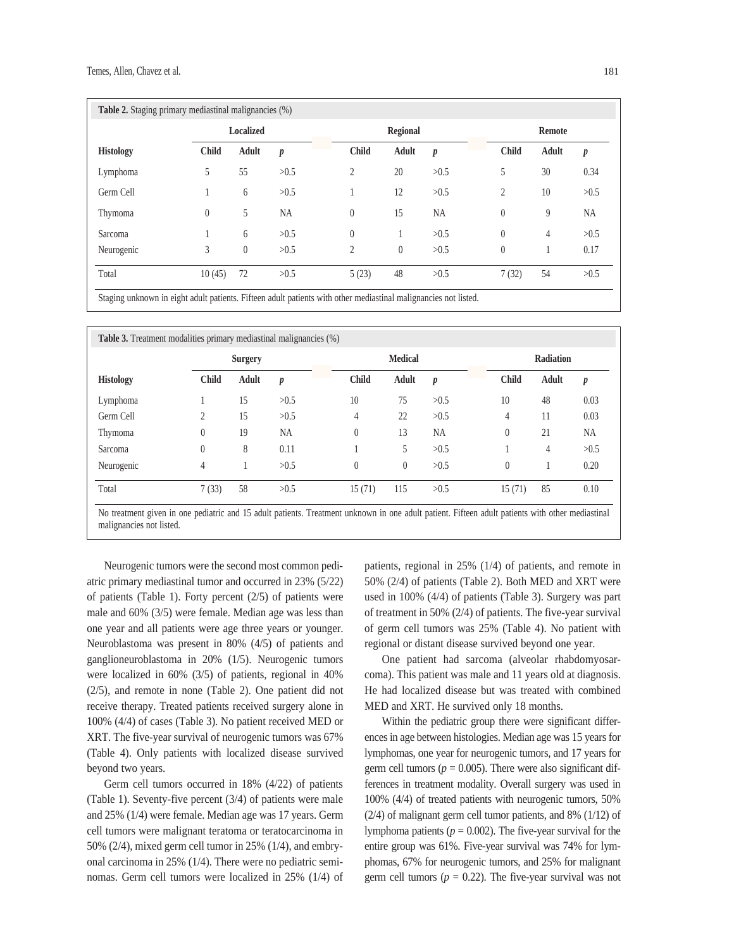| <b>Histology</b> |              | <b>Localized</b> |                  |                | Regional | Remote           |              |       |                  |
|------------------|--------------|------------------|------------------|----------------|----------|------------------|--------------|-------|------------------|
|                  | <b>Child</b> | <b>Adult</b>     | $\boldsymbol{p}$ | <b>Child</b>   | Adult    | $\boldsymbol{p}$ | <b>Child</b> | Adult | $\boldsymbol{p}$ |
| Lymphoma         | 5            | 55               | >0.5             | 2              | 20       | >0.5             | 5            | 30    | 0.34             |
| Germ Cell        |              | 6                | >0.5             |                | 12       | >0.5             | 2            | 10    | >0.5             |
| Thymoma          | $\theta$     | 5                | <b>NA</b>        | $\theta$       | 15       | NA               | $\theta$     | 9     | <b>NA</b>        |
| Sarcoma          |              | 6                | >0.5             | $\overline{0}$ | $\perp$  | >0.5             | $\theta$     | 4     | >0.5             |
| Neurogenic       | 3            | $\theta$         | >0.5             | 2              | $\theta$ | >0.5             | $\theta$     |       | 0.17             |
| Total            | 10(45)       | 72               | >0.5             | 5(23)          | 48       | >0.5             | 7(32)        | 54    | >0.5             |

| <b>Histology</b> |              | <b>Surgery</b> |                  |              | <b>Medical</b> | Radiation        |              |       |                  |
|------------------|--------------|----------------|------------------|--------------|----------------|------------------|--------------|-------|------------------|
|                  | <b>Child</b> | Adult          | $\boldsymbol{p}$ | <b>Child</b> | Adult          | $\boldsymbol{p}$ | <b>Child</b> | Adult | $\boldsymbol{p}$ |
| Lymphoma         |              | 15             | >0.5             | 10           | 75             | >0.5             | 10           | 48    | 0.03             |
| Germ Cell        | 2            | 15             | >0.5             | 4            | 22             | >0.5             | 4            | 11    | 0.03             |
| Thymoma          | $\theta$     | 19             | <b>NA</b>        | $\theta$     | 13             | NA               | $\theta$     | 21    | NA               |
| Sarcoma          | $\theta$     | 8              | 0.11             |              | 5              | >0.5             |              | 4     | >0.5             |
| Neurogenic       | 4            |                | >0.5             | $\theta$     | $\theta$       | >0.5             | $\theta$     |       | 0.20             |
| Total            | 7(33)        | 58             | >0.5             | 15(71)       | 115            | >0.5             | 15(71)       | 85    | 0.10             |

Neurogenic tumors were the second most common pediatric primary mediastinal tumor and occurred in 23% (5/22) of patients (Table 1). Forty percent (2/5) of patients were male and 60% (3/5) were female. Median age was less than one year and all patients were age three years or younger. Neuroblastoma was present in 80% (4/5) of patients and ganglioneuroblastoma in 20% (1/5). Neurogenic tumors were localized in 60% (3/5) of patients, regional in 40% (2/5), and remote in none (Table 2). One patient did not receive therapy. Treated patients received surgery alone in 100% (4/4) of cases (Table 3). No patient received MED or XRT. The five-year survival of neurogenic tumors was 67% (Table 4). Only patients with localized disease survived beyond two years.

Germ cell tumors occurred in 18% (4/22) of patients (Table 1). Seventy-five percent (3/4) of patients were male and 25% (1/4) were female. Median age was 17 years. Germ cell tumors were malignant teratoma or teratocarcinoma in 50% (2/4), mixed germ cell tumor in 25% (1/4), and embryonal carcinoma in 25% (1/4). There were no pediatric seminomas. Germ cell tumors were localized in 25% (1/4) of patients, regional in 25% (1/4) of patients, and remote in 50% (2/4) of patients (Table 2). Both MED and XRT were used in 100% (4/4) of patients (Table 3). Surgery was part of treatment in 50% (2/4) of patients. The five-year survival of germ cell tumors was 25% (Table 4). No patient with regional or distant disease survived beyond one year.

One patient had sarcoma (alveolar rhabdomyosarcoma). This patient was male and 11 years old at diagnosis. He had localized disease but was treated with combined MED and XRT. He survived only 18 months.

Within the pediatric group there were significant differences in age between histologies. Median age was 15 years for lymphomas, one year for neurogenic tumors, and 17 years for germ cell tumors ( $p = 0.005$ ). There were also significant differences in treatment modality. Overall surgery was used in 100% (4/4) of treated patients with neurogenic tumors, 50% (2/4) of malignant germ cell tumor patients, and 8% (1/12) of lymphoma patients ( $p = 0.002$ ). The five-year survival for the entire group was 61%. Five-year survival was 74% for lymphomas, 67% for neurogenic tumors, and 25% for malignant germ cell tumors ( $p = 0.22$ ). The five-year survival was not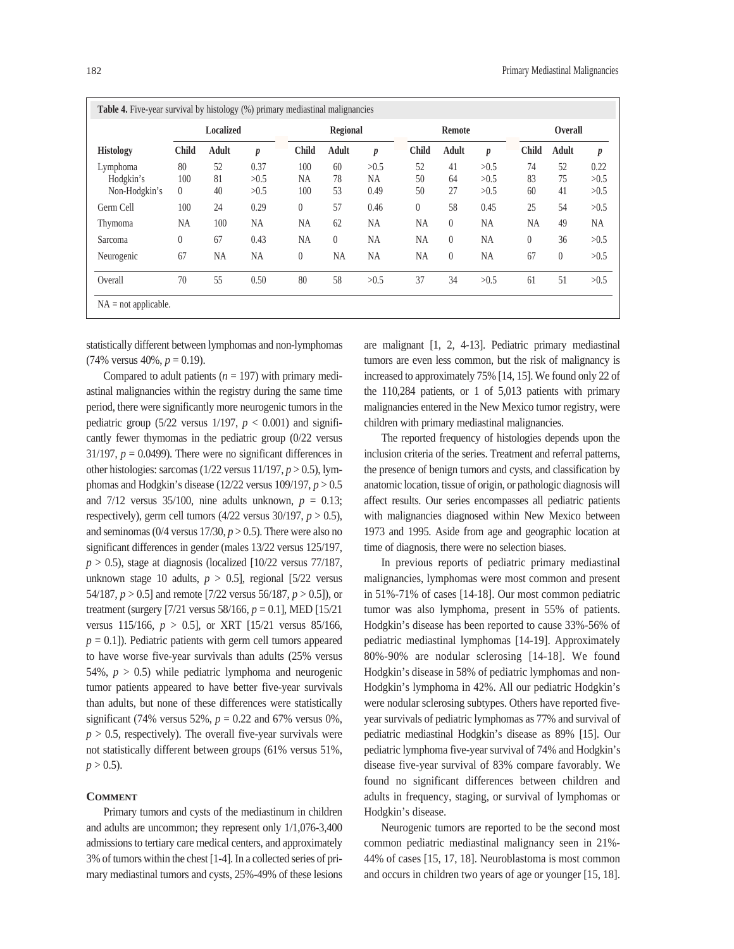| <b>Histology</b> | <b>Localized</b> |              |                  | <b>Regional</b> |           |                  | Remote       |          |                  | <b>Overall</b> |          |                  |
|------------------|------------------|--------------|------------------|-----------------|-----------|------------------|--------------|----------|------------------|----------------|----------|------------------|
|                  | <b>Child</b>     | <b>Adult</b> | $\boldsymbol{p}$ | <b>Child</b>    | Adult     | $\boldsymbol{p}$ | <b>Child</b> | Adult    | $\boldsymbol{p}$ | <b>Child</b>   | Adult    | $\boldsymbol{p}$ |
| Lymphoma         | 80               | 52           | 0.37             | 100             | 60        | >0.5             | 52           | 41       | >0.5             | 74             | 52       | 0.22             |
| Hodgkin's        | 100              | 81           | >0.5             | NA              | 78        | NA               | 50           | 64       | >0.5             | 83             | 75       | >0.5             |
| Non-Hodgkin's    | $\theta$         | 40           | >0.5             | 100             | 53        | 0.49             | 50           | 27       | >0.5             | 60             | 41       | >0.5             |
| Germ Cell        | 100              | 24           | 0.29             | $\theta$        | 57        | 0.46             | $\theta$     | 58       | 0.45             | 25             | 54       | >0.5             |
| Thymoma          | <b>NA</b>        | 100          | NA               | <b>NA</b>       | 62        | NA               | <b>NA</b>    | $\theta$ | <b>NA</b>        | NA             | 49       | <b>NA</b>        |
| Sarcoma          | $\theta$         | 67           | 0.43             | <b>NA</b>       | $\theta$  | NA               | <b>NA</b>    | $\theta$ | <b>NA</b>        | $\mathbf{0}$   | 36       | >0.5             |
| Neurogenic       | 67               | <b>NA</b>    | NA               | $\mathbf{0}$    | <b>NA</b> | NA               | NA           | $\theta$ | NA               | 67             | $\theta$ | >0.5             |
| Overall          | 70               | 55           | 0.50             | 80              | 58        | >0.5             | 37           | 34       | >0.5             | 61             | 51       | $>0.5$           |

statistically different between lymphomas and non-lymphomas  $(74\%$  versus  $40\%$ ,  $p = 0.19$ ).

Compared to adult patients ( $n = 197$ ) with primary mediastinal malignancies within the registry during the same time period, there were significantly more neurogenic tumors in the pediatric group  $(5/22 \text{ versus } 1/197, p < 0.001)$  and significantly fewer thymomas in the pediatric group (0/22 versus 31/197,  $p = 0.0499$ ). There were no significant differences in other histologies: sarcomas (1/22 versus 11/197, *p* > 0.5), lymphomas and Hodgkin's disease (12/22 versus 109/197, *p* > 0.5 and  $7/12$  versus  $35/100$ , nine adults unknown,  $p = 0.13$ ; respectively), germ cell tumors  $(4/22 \text{ versus } 30/197, p > 0.5)$ , and seminomas (0/4 versus 17/30, *p* > 0.5). There were also no significant differences in gender (males 13/22 versus 125/197,  $p > 0.5$ ), stage at diagnosis (localized [10/22 versus 77/187, unknown stage 10 adults,  $p > 0.5$ ], regional [5/22 versus 54/187, *p* > 0.5] and remote [7/22 versus 56/187, *p* > 0.5]), or treatment (surgery [7/21 versus 58/166, *p* = 0.1], MED [15/21 versus 115/166, *p* > 0.5], or XRT [15/21 versus 85/166,  $p = 0.1$ . Pediatric patients with germ cell tumors appeared to have worse five-year survivals than adults (25% versus 54%,  $p > 0.5$ ) while pediatric lymphoma and neurogenic tumor patients appeared to have better five-year survivals than adults, but none of these differences were statistically significant (74% versus 52%, *p* = 0.22 and 67% versus 0%,  $p > 0.5$ , respectively). The overall five-year survivals were not statistically different between groups (61% versus 51%,  $p > 0.5$ ).

### **COMMENT**

Primary tumors and cysts of the mediastinum in children and adults are uncommon; they represent only 1/1,076-3,400 admissions to tertiary care medical centers, and approximately 3% of tumors within the chest [1-4]. In a collected series of primary mediastinal tumors and cysts, 25%-49% of these lesions are malignant [1, 2, 4-13]. Pediatric primary mediastinal tumors are even less common, but the risk of malignancy is increased to approximately 75% [14, 15]. We found only 22 of the 110,284 patients, or 1 of 5,013 patients with primary malignancies entered in the New Mexico tumor registry, were children with primary mediastinal malignancies.

The reported frequency of histologies depends upon the inclusion criteria of the series. Treatment and referral patterns, the presence of benign tumors and cysts, and classification by anatomic location, tissue of origin, or pathologic diagnosis will affect results. Our series encompasses all pediatric patients with malignancies diagnosed within New Mexico between 1973 and 1995. Aside from age and geographic location at time of diagnosis, there were no selection biases.

In previous reports of pediatric primary mediastinal malignancies, lymphomas were most common and present in 51%-71% of cases [14-18]. Our most common pediatric tumor was also lymphoma, present in 55% of patients. Hodgkin's disease has been reported to cause 33%-56% of pediatric mediastinal lymphomas [14-19]. Approximately 80%-90% are nodular sclerosing [14-18]. We found Hodgkin's disease in 58% of pediatric lymphomas and non-Hodgkin's lymphoma in 42%. All our pediatric Hodgkin's were nodular sclerosing subtypes. Others have reported fiveyear survivals of pediatric lymphomas as 77% and survival of pediatric mediastinal Hodgkin's disease as 89% [15]. Our pediatric lymphoma five-year survival of 74% and Hodgkin's disease five-year survival of 83% compare favorably. We found no significant differences between children and adults in frequency, staging, or survival of lymphomas or Hodgkin's disease.

Neurogenic tumors are reported to be the second most common pediatric mediastinal malignancy seen in 21%- 44% of cases [15, 17, 18]. Neuroblastoma is most common and occurs in children two years of age or younger [15, 18].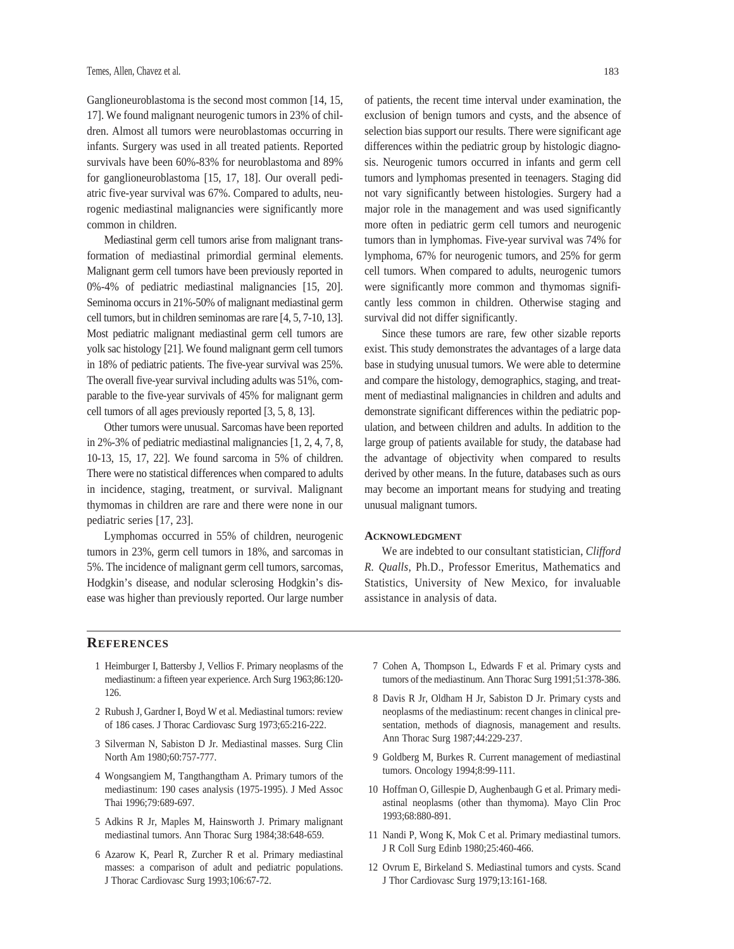Ganglioneuroblastoma is the second most common [14, 15, 17]. We found malignant neurogenic tumors in 23% of children. Almost all tumors were neuroblastomas occurring in infants. Surgery was used in all treated patients. Reported survivals have been 60%-83% for neuroblastoma and 89% for ganglioneuroblastoma [15, 17, 18]. Our overall pediatric five-year survival was 67%. Compared to adults, neurogenic mediastinal malignancies were significantly more common in children.

Mediastinal germ cell tumors arise from malignant transformation of mediastinal primordial germinal elements. Malignant germ cell tumors have been previously reported in 0%-4% of pediatric mediastinal malignancies [15, 20]. Seminoma occurs in 21%-50% of malignant mediastinal germ cell tumors, but in children seminomas are rare [4, 5, 7-10, 13]. Most pediatric malignant mediastinal germ cell tumors are yolk sac histology [21]. We found malignant germ cell tumors in 18% of pediatric patients. The five-year survival was 25%. The overall five-year survival including adults was 51%, comparable to the five-year survivals of 45% for malignant germ cell tumors of all ages previously reported [3, 5, 8, 13].

Other tumors were unusual. Sarcomas have been reported in 2%-3% of pediatric mediastinal malignancies [1, 2, 4, 7, 8, 10-13, 15, 17, 22]. We found sarcoma in 5% of children. There were no statistical differences when compared to adults in incidence, staging, treatment, or survival. Malignant thymomas in children are rare and there were none in our pediatric series [17, 23].

Lymphomas occurred in 55% of children, neurogenic tumors in 23%, germ cell tumors in 18%, and sarcomas in 5%. The incidence of malignant germ cell tumors, sarcomas, Hodgkin's disease, and nodular sclerosing Hodgkin's disease was higher than previously reported. Our large number of patients, the recent time interval under examination, the exclusion of benign tumors and cysts, and the absence of selection bias support our results. There were significant age differences within the pediatric group by histologic diagnosis. Neurogenic tumors occurred in infants and germ cell tumors and lymphomas presented in teenagers. Staging did not vary significantly between histologies. Surgery had a major role in the management and was used significantly more often in pediatric germ cell tumors and neurogenic tumors than in lymphomas. Five-year survival was 74% for lymphoma, 67% for neurogenic tumors, and 25% for germ cell tumors. When compared to adults, neurogenic tumors were significantly more common and thymomas significantly less common in children. Otherwise staging and survival did not differ significantly.

Since these tumors are rare, few other sizable reports exist. This study demonstrates the advantages of a large data base in studying unusual tumors. We were able to determine and compare the histology, demographics, staging, and treatment of mediastinal malignancies in children and adults and demonstrate significant differences within the pediatric population, and between children and adults. In addition to the large group of patients available for study, the database had the advantage of objectivity when compared to results derived by other means. In the future, databases such as ours may become an important means for studying and treating unusual malignant tumors.

#### **ACKNOWLEDGMENT**

We are indebted to our consultant statistician, *Clifford R. Qualls*, Ph.D., Professor Emeritus, Mathematics and Statistics, University of New Mexico, for invaluable assistance in analysis of data.

## **REFERENCES**

- 1 Heimburger I, Battersby J, Vellios F. Primary neoplasms of the mediastinum: a fifteen year experience. Arch Surg 1963;86:120- 126.
- 2 Rubush J, Gardner I, Boyd W et al. Mediastinal tumors: review of 186 cases. J Thorac Cardiovasc Surg 1973;65:216-222.
- 3 Silverman N, Sabiston D Jr. Mediastinal masses. Surg Clin North Am 1980;60:757-777.
- 4 Wongsangiem M, Tangthangtham A. Primary tumors of the mediastinum: 190 cases analysis (1975-1995). J Med Assoc Thai 1996;79:689-697.
- 5 Adkins R Jr, Maples M, Hainsworth J. Primary malignant mediastinal tumors. Ann Thorac Surg 1984;38:648-659.
- 6 Azarow K, Pearl R, Zurcher R et al. Primary mediastinal masses: a comparison of adult and pediatric populations. J Thorac Cardiovasc Surg 1993;106:67-72.
- 7 Cohen A, Thompson L, Edwards F et al. Primary cysts and tumors of the mediastinum. Ann Thorac Surg 1991;51:378-386.
- 8 Davis R Jr, Oldham H Jr, Sabiston D Jr. Primary cysts and neoplasms of the mediastinum: recent changes in clinical presentation, methods of diagnosis, management and results. Ann Thorac Surg 1987;44:229-237.
- 9 Goldberg M, Burkes R. Current management of mediastinal tumors. Oncology 1994;8:99-111.
- 10 Hoffman O, Gillespie D, Aughenbaugh G et al. Primary mediastinal neoplasms (other than thymoma). Mayo Clin Proc 1993;68:880-891.
- 11 Nandi P, Wong K, Mok C et al. Primary mediastinal tumors. J R Coll Surg Edinb 1980;25:460-466.
- 12 Ovrum E, Birkeland S. Mediastinal tumors and cysts. Scand J Thor Cardiovasc Surg 1979;13:161-168.